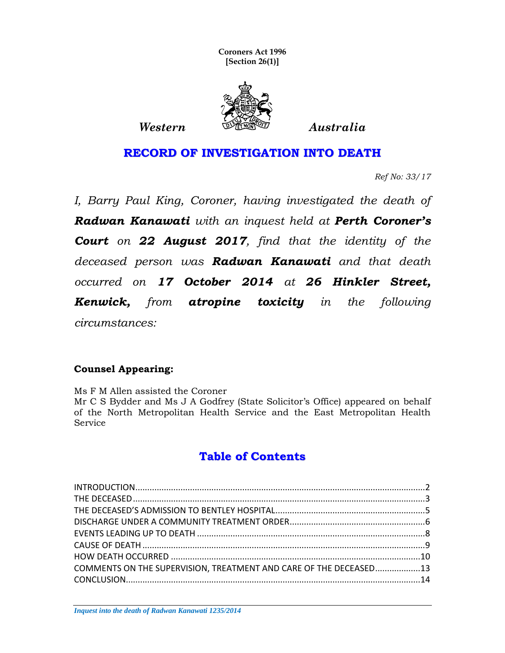**Coroners Act 1996 [Section 26(1)]**



**RECORD OF INVESTIGATION INTO DEATH**

*Ref No: 33/17*

*I, Barry Paul King, Coroner, having investigated the death of Radwan Kanawati with an inquest held at Perth Coroner's Court on 22 August 2017, find that the identity of the deceased person was Radwan Kanawati and that death occurred on 17 October 2014 at 26 Hinkler Street, Kenwick, from atropine toxicity in the following circumstances:*

#### **Counsel Appearing:**

Ms F M Allen assisted the Coroner Mr C S Bydder and Ms J A Godfrey (State Solicitor's Office) appeared on behalf of the North Metropolitan Health Service and the East Metropolitan Health Service

# **Table of Contents**

<span id="page-0-0"></span>

| COMMENTS ON THE SUPERVISION, TREATMENT AND CARE OF THE DECEASED13 |  |
|-------------------------------------------------------------------|--|
|                                                                   |  |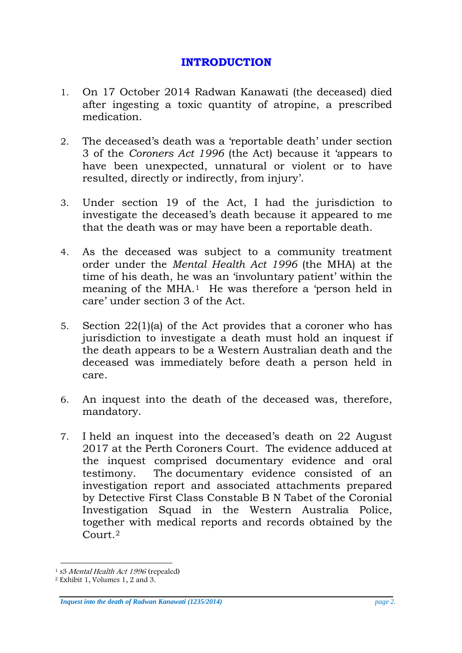## **INTRODUCTION**

- <span id="page-1-0"></span>1. On 17 October 2014 Radwan Kanawati (the deceased) died after ingesting a toxic quantity of atropine, a prescribed medication.
- 2. The deceased's death was a 'reportable death' under section 3 of the *Coroners Act 1996* (the Act) because it 'appears to have been unexpected, unnatural or violent or to have resulted, directly or indirectly, from injury'.
- 3. Under section 19 of the Act, I had the jurisdiction to investigate the deceased's death because it appeared to me that the death was or may have been a reportable death.
- 4. As the deceased was subject to a community treatment order under the *Mental Health Act 1996* (the MHA) at the time of his death, he was an 'involuntary patient' within the meaning of the MHA.[1](#page-0-0) He was therefore a 'person held in care' under section 3 of the Act.
- 5. Section 22(1)(a) of the Act provides that a coroner who has jurisdiction to investigate a death must hold an inquest if the death appears to be a Western Australian death and the deceased was immediately before death a person held in care.
- 6. An inquest into the death of the deceased was, therefore, mandatory.
- 7. I held an inquest into the deceased's death on 22 August 2017 at the Perth Coroners Court. The evidence adduced at the inquest comprised documentary evidence and oral testimony. The documentary evidence consisted of an investigation report and associated attachments prepared by Detective First Class Constable B N Tabet of the Coronial Investigation Squad in the Western Australia Police, together with medical reports and records obtained by the Court<sup>[2](#page-1-1)</sup>

*Inquest into the death of Radwan Kanawati (1235/2014) page 2.*

<span id="page-1-2"></span><sup>&</sup>lt;sup>1</sup> s3 Mental Health Act 1996 (repealed)

<span id="page-1-1"></span><sup>2</sup> Exhibit 1, Volumes 1, 2 and 3.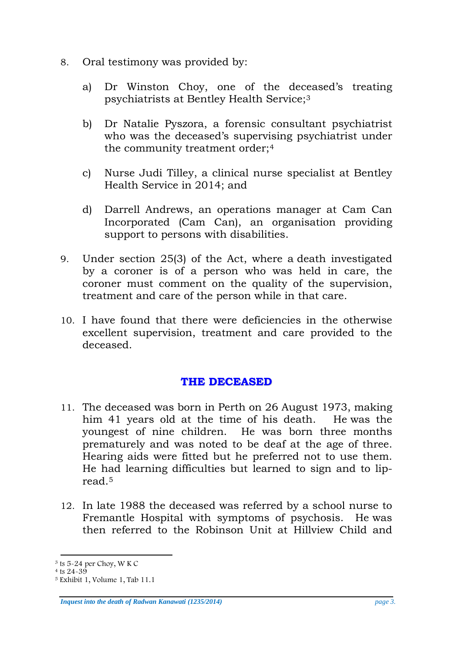- 8. Oral testimony was provided by:
	- a) Dr Winston Choy, one of the deceased's treating psychiatrists at Bentley Health Service;[3](#page-1-2)
	- b) Dr Natalie Pyszora, a forensic consultant psychiatrist who was the deceased's supervising psychiatrist under the community treatment order;[4](#page-2-1)
	- c) Nurse Judi Tilley, a clinical nurse specialist at Bentley Health Service in 2014; and
	- d) Darrell Andrews, an operations manager at Cam Can Incorporated (Cam Can), an organisation providing support to persons with disabilities.
- 9. Under section 25(3) of the Act, where a death investigated by a coroner is of a person who was held in care, the coroner must comment on the quality of the supervision, treatment and care of the person while in that care.
- <span id="page-2-0"></span>10. I have found that there were deficiencies in the otherwise excellent supervision, treatment and care provided to the deceased.

## **THE DECEASED**

- 11. The deceased was born in Perth on 26 August 1973, making him 41 years old at the time of his death. He was the youngest of nine children. He was born three months prematurely and was noted to be deaf at the age of three. Hearing aids were fitted but he preferred not to use them. He had learning difficulties but learned to sign and to lipread.[5](#page-2-2)
- 12. In late 1988 the deceased was referred by a school nurse to Fremantle Hospital with symptoms of psychosis. He was then referred to the Robinson Unit at Hillview Child and

*Inquest into the death of Radwan Kanawati (1235/2014) page 3.*

<span id="page-2-3"></span> $3$  ts 5-24 per Choy, W K C  $4$  ts 24-39

<span id="page-2-1"></span>

<span id="page-2-2"></span> $5$  Exhibit 1, Volume 1, Tab 11.1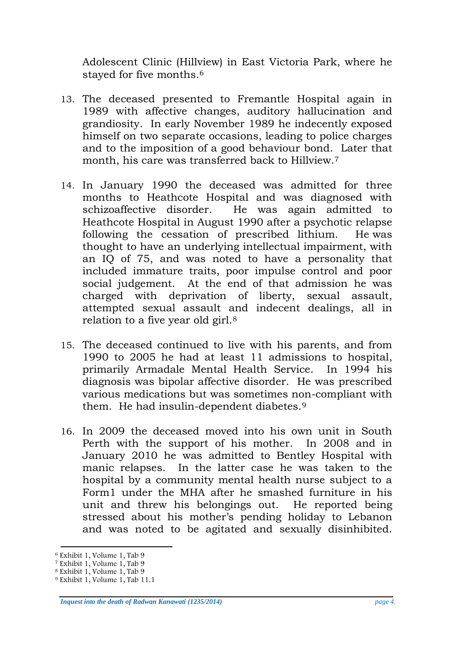Adolescent Clinic (Hillview) in East Victoria Park, where he stayed for five months.<sup>[6](#page-2-3)</sup>

- 13. The deceased presented to Fremantle Hospital again in 1989 with affective changes, auditory hallucination and grandiosity. In early November 1989 he indecently exposed himself on two separate occasions, leading to police charges and to the imposition of a good behaviour bond. Later that month, his care was transferred back to Hillview.<sup>7</sup>
- 14. In January 1990 the deceased was admitted for three months to Heathcote Hospital and was diagnosed with schizoaffective disorder. He was again admitted to Heathcote Hospital in August 1990 after a psychotic relapse following the cessation of prescribed lithium. He was thought to have an underlying intellectual impairment, with an IQ of 75, and was noted to have a personality that included immature traits, poor impulse control and poor social judgement. At the end of that admission he was charged with deprivation of liberty, sexual assault, attempted sexual assault and indecent dealings, all in relation to a five year old girl.<sup>[8](#page-3-1)</sup>
- 15. The deceased continued to live with his parents, and from 1990 to 2005 he had at least 11 admissions to hospital, primarily Armadale Mental Health Service. In 1994 his diagnosis was bipolar affective disorder. He was prescribed various medications but was sometimes non-compliant with them. He had insulin-dependent diabetes.[9](#page-3-2)
- 16. In 2009 the deceased moved into his own unit in South Perth with the support of his mother. In 2008 and in January 2010 he was admitted to Bentley Hospital with manic relapses. In the latter case he was taken to the hospital by a community mental health nurse subject to a Form1 under the MHA after he smashed furniture in his unit and threw his belongings out. He reported being stressed about his mother's pending holiday to Lebanon and was noted to be agitated and sexually disinhibited.

*Inquest into the death of Radwan Kanawati (1235/2014) page 4.*

<span id="page-3-3"></span> <sup>6</sup> Exhibit 1, Volume 1, Tab 9

<span id="page-3-0"></span><sup>7</sup> Exhibit 1, Volume 1, Tab 9

<span id="page-3-1"></span><sup>8</sup> Exhibit 1, Volume 1, Tab 9

<span id="page-3-2"></span><sup>9</sup> Exhibit 1, Volume 1, Tab 11.1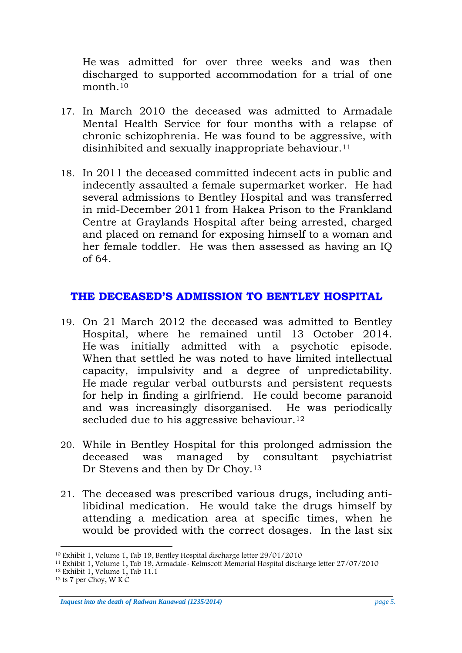He was admitted for over three weeks and was then discharged to supported accommodation for a trial of one month [10](#page-3-3)

- 17. In March 2010 the deceased was admitted to Armadale Mental Health Service for four months with a relapse of chronic schizophrenia. He was found to be aggressive, with disinhibited and sexually inappropriate behaviour.<sup>[11](#page-4-1)</sup>
- 18. In 2011 the deceased committed indecent acts in public and indecently assaulted a female supermarket worker. He had several admissions to Bentley Hospital and was transferred in mid-December 2011 from Hakea Prison to the Frankland Centre at Graylands Hospital after being arrested, charged and placed on remand for exposing himself to a woman and her female toddler. He was then assessed as having an IQ of 64.

## <span id="page-4-0"></span>**THE DECEASED'S ADMISSION TO BENTLEY HOSPITAL**

- 19. On 21 March 2012 the deceased was admitted to Bentley Hospital, where he remained until 13 October 2014. He was initially admitted with a psychotic episode. When that settled he was noted to have limited intellectual capacity, impulsivity and a degree of unpredictability. He made regular verbal outbursts and persistent requests for help in finding a girlfriend. He could become paranoid and was increasingly disorganised. He was periodically secluded due to his aggressive behaviour.<sup>12</sup>
- 20. While in Bentley Hospital for this prolonged admission the deceased was managed by consultant psychiatrist Dr Stevens and then by Dr Choy.<sup>[13](#page-4-3)</sup>
- 21. The deceased was prescribed various drugs, including antilibidinal medication. He would take the drugs himself by attending a medication area at specific times, when he would be provided with the correct dosages. In the last six

<span id="page-4-4"></span> <sup>10</sup> Exhibit 1, Volume 1, Tab 19, Bentley Hospital discharge letter 29/01/2010

<span id="page-4-1"></span><sup>11</sup> Exhibit 1, Volume 1, Tab 19, Armadale- Kelmscott Memorial Hospital discharge letter 27/07/2010

<sup>12</sup> Exhibit 1, Volume 1, Tab 11.1

<span id="page-4-3"></span><span id="page-4-2"></span> $13$  ts 7 per Choy, W K C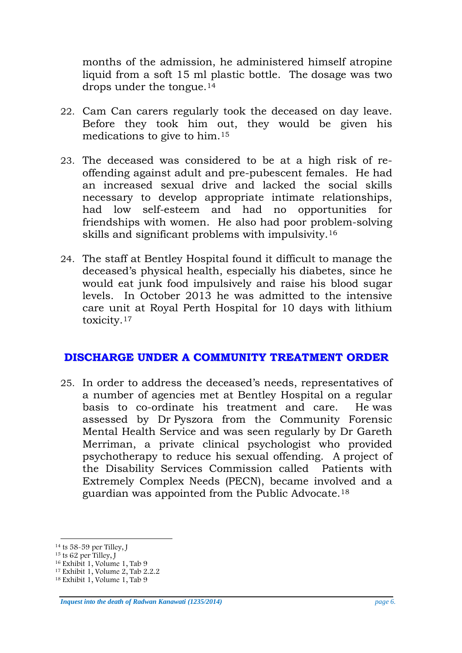months of the admission, he administered himself atropine liquid from a soft 15 ml plastic bottle. The dosage was two drops under the tongue.[14](#page-4-4)

- 22. Cam Can carers regularly took the deceased on day leave. Before they took him out, they would be given his medications to give to him.[15](#page-5-1)
- 23. The deceased was considered to be at a high risk of reoffending against adult and pre-pubescent females. He had an increased sexual drive and lacked the social skills necessary to develop appropriate intimate relationships, had low self-esteem and had no opportunities for friendships with women. He also had poor problem-solving skills and significant problems with impulsivity[.16](#page-5-2)
- 24. The staff at Bentley Hospital found it difficult to manage the deceased's physical health, especially his diabetes, since he would eat junk food impulsively and raise his blood sugar levels. In October 2013 he was admitted to the intensive care unit at Royal Perth Hospital for 10 days with lithium toxicity.[17](#page-5-3)

## <span id="page-5-0"></span>**DISCHARGE UNDER A COMMUNITY TREATMENT ORDER**

25. In order to address the deceased's needs, representatives of a number of agencies met at Bentley Hospital on a regular basis to co-ordinate his treatment and care. He was assessed by Dr Pyszora from the Community Forensic Mental Health Service and was seen regularly by Dr Gareth Merriman, a private clinical psychologist who provided psychotherapy to reduce his sexual offending. A project of the Disability Services Commission called Patients with Extremely Complex Needs (PECN), became involved and a guardian was appointed from the Public Advocate.[18](#page-5-4)

*Inquest into the death of Radwan Kanawati (1235/2014) page 6.*

<sup>&</sup>lt;sup>14</sup> ts 58-59 per Tilley, J<br><sup>15</sup> ts 62 per Tilley, J

<span id="page-5-2"></span><span id="page-5-1"></span><sup>16</sup> Exhibit 1, Volume 1, Tab 9

<span id="page-5-3"></span> $17$  Exhibit 1, Volume 2, Tab 2.2.2

<span id="page-5-4"></span><sup>18</sup> Exhibit 1, Volume 1, Tab 9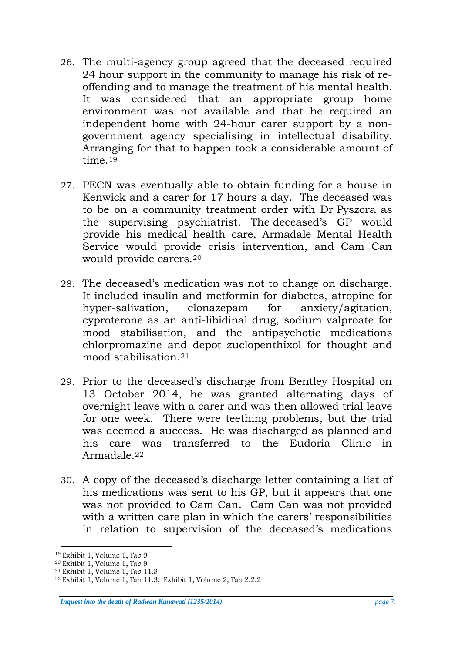- 26. The multi-agency group agreed that the deceased required 24 hour support in the community to manage his risk of reoffending and to manage the treatment of his mental health. It was considered that an appropriate group home environment was not available and that he required an independent home with 24-hour carer support by a nongovernment agency specialising in intellectual disability. Arranging for that to happen took a considerable amount of time.[19](#page-5-1)
- 27. PECN was eventually able to obtain funding for a house in Kenwick and a carer for 17 hours a day. The deceased was to be on a community treatment order with Dr Pyszora as the supervising psychiatrist. The deceased's GP would provide his medical health care, Armadale Mental Health Service would provide crisis intervention, and Cam Can would provide carers.[20](#page-6-0)
- 28. The deceased's medication was not to change on discharge. It included insulin and metformin for diabetes, atropine for hyper-salivation, clonazepam for anxiety/agitation, cyproterone as an anti-libidinal drug, sodium valproate for mood stabilisation, and the antipsychotic medications chlorpromazine and depot zuclopenthixol for thought and mood stabilisation.[21](#page-6-1)
- 29. Prior to the deceased's discharge from Bentley Hospital on 13 October 2014, he was granted alternating days of overnight leave with a carer and was then allowed trial leave for one week. There were teething problems, but the trial was deemed a success. He was discharged as planned and his care was transferred to the Eudoria Clinic in Armadale.[22](#page-6-2)
- 30. A copy of the deceased's discharge letter containing a list of his medications was sent to his GP, but it appears that one was not provided to Cam Can. Cam Can was not provided with a written care plan in which the carers' responsibilities in relation to supervision of the deceased's medications

*Inquest into the death of Radwan Kanawati (1235/2014) page 7.*

<span id="page-6-3"></span> <sup>19</sup> Exhibit 1, Volume 1, Tab 9

<span id="page-6-0"></span> $20$  Exhibit 1, Volume 1, Tab 9

<span id="page-6-1"></span> $21$  Exhibit 1, Volume 1, Tab 11.3

<span id="page-6-2"></span><sup>22</sup> Exhibit 1, Volume 1, Tab 11.3; Exhibit 1, Volume 2, Tab 2.2.2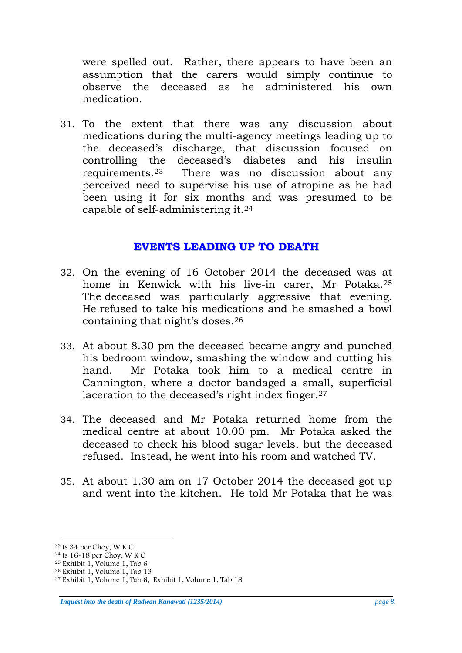were spelled out. Rather, there appears to have been an assumption that the carers would simply continue to observe the deceased as he administered his own medication.

31. To the extent that there was any discussion about medications during the multi-agency meetings leading up to the deceased's discharge, that discussion focused on controlling the deceased's diabetes and his insulin requirements.[23](#page-6-3) There was no discussion about any perceived need to supervise his use of atropine as he had been using it for six months and was presumed to be capable of self-administering it.[24](#page-7-1)

#### **EVENTS LEADING UP TO DEATH**

- <span id="page-7-0"></span>32. On the evening of 16 October 2014 the deceased was at home in Kenwick with his live-in carer, Mr Potaka.[25](#page-7-2) The deceased was particularly aggressive that evening. He refused to take his medications and he smashed a bowl containing that night's doses.[26](#page-7-3)
- 33. At about 8.30 pm the deceased became angry and punched his bedroom window, smashing the window and cutting his hand. Mr Potaka took him to a medical centre in Cannington, where a doctor bandaged a small, superficial laceration to the deceased's right index finger.<sup>27</sup>
- 34. The deceased and Mr Potaka returned home from the medical centre at about 10.00 pm. Mr Potaka asked the deceased to check his blood sugar levels, but the deceased refused. Instead, he went into his room and watched TV.
- 35. At about 1.30 am on 17 October 2014 the deceased got up and went into the kitchen. He told Mr Potaka that he was

<span id="page-7-5"></span> <sup>23</sup> ts 34 per Choy, W K C

<span id="page-7-1"></span><sup>&</sup>lt;sup>24</sup> ts 16-18 per Choy, W K C

<span id="page-7-2"></span> $25$  Exhibit 1, Volume 1, Tab 6

<span id="page-7-3"></span> $26$  Exhibit 1, Volume 1, Tab 13

<span id="page-7-4"></span><sup>27</sup> Exhibit 1, Volume 1, Tab 6; Exhibit 1, Volume 1, Tab 18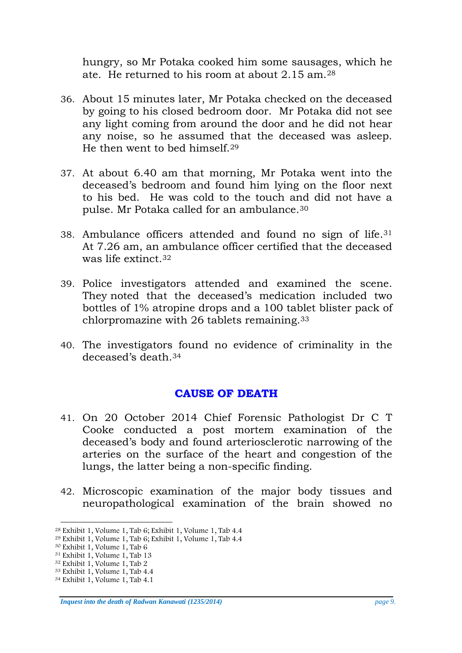hungry, so Mr Potaka cooked him some sausages, which he ate. He returned to his room at about 2.15 am[.28](#page-7-5) 

- 36. About 15 minutes later, Mr Potaka checked on the deceased by going to his closed bedroom door. Mr Potaka did not see any light coming from around the door and he did not hear any noise, so he assumed that the deceased was asleep. He then went to bed himself.[29](#page-8-1)
- 37. At about 6.40 am that morning, Mr Potaka went into the deceased's bedroom and found him lying on the floor next to his bed. He was cold to the touch and did not have a pulse. Mr Potaka called for an ambulance.[30](#page-8-2)
- 38. Ambulance officers attended and found no sign of life.[31](#page-8-3)  At 7.26 am, an ambulance officer certified that the deceased was life extinct[.32](#page-8-4)
- 39. Police investigators attended and examined the scene. They noted that the deceased's medication included two bottles of 1% atropine drops and a 100 tablet blister pack of chlorpromazine with 26 tablets remaining[.33](#page-8-5)
- <span id="page-8-0"></span>40. The investigators found no evidence of criminality in the deceased's death[.34](#page-8-6)

## **CAUSE OF DEATH**

- 41. On 20 October 2014 Chief Forensic Pathologist Dr C T Cooke conducted a post mortem examination of the deceased's body and found arteriosclerotic narrowing of the arteries on the surface of the heart and congestion of the lungs, the latter being a non-specific finding.
- 42. Microscopic examination of the major body tissues and neuropathological examination of the brain showed no

*Inquest into the death of Radwan Kanawati (1235/2014) page 9.*

 <sup>28</sup> Exhibit 1, Volume 1, Tab 6; Exhibit 1, Volume 1, Tab 4.4

<span id="page-8-1"></span><sup>29</sup> Exhibit 1, Volume 1, Tab 6; Exhibit 1, Volume 1, Tab 4.4

<span id="page-8-2"></span> $30$  Exhibit 1, Volume 1, Tab 6

<sup>31</sup> Exhibit 1, Volume 1, Tab 13

<span id="page-8-4"></span><span id="page-8-3"></span><sup>32</sup> Exhibit 1, Volume 1, Tab 2

<span id="page-8-5"></span><sup>33</sup> Exhibit 1, Volume 1, Tab 4.4

<span id="page-8-6"></span><sup>34</sup> Exhibit 1, Volume 1, Tab 4.1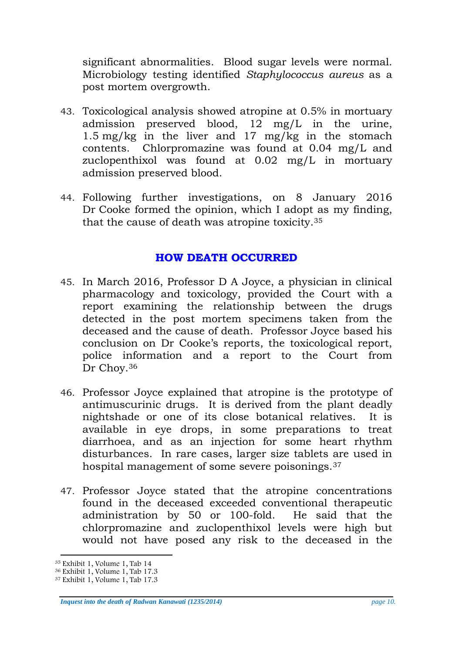significant abnormalities. Blood sugar levels were normal. Microbiology testing identified *Staphylococcus aureus* as a post mortem overgrowth.

- 43. Toxicological analysis showed atropine at 0.5% in mortuary admission preserved blood, 12 mg/L in the urine, 1.5 mg/kg in the liver and 17 mg/kg in the stomach contents. Chlorpromazine was found at 0.04 mg/L and zuclopenthixol was found at 0.02 mg/L in mortuary admission preserved blood.
- <span id="page-9-0"></span>44. Following further investigations, on 8 January 2016 Dr Cooke formed the opinion, which I adopt as my finding, that the cause of death was atropine toxicity.[35](#page-8-4)

## **HOW DEATH OCCURRED**

- 45. In March 2016, Professor D A Joyce, a physician in clinical pharmacology and toxicology, provided the Court with a report examining the relationship between the drugs detected in the post mortem specimens taken from the deceased and the cause of death. Professor Joyce based his conclusion on Dr Cooke's reports, the toxicological report, police information and a report to the Court from Dr Choy.[36](#page-9-1)
- 46. Professor Joyce explained that atropine is the prototype of antimuscurinic drugs. It is derived from the plant deadly nightshade or one of its close botanical relatives. It is available in eye drops, in some preparations to treat diarrhoea, and as an injection for some heart rhythm disturbances. In rare cases, larger size tablets are used in hospital management of some severe poisonings.[37](#page-9-2)
- 47. Professor Joyce stated that the atropine concentrations found in the deceased exceeded conventional therapeutic administration by 50 or 100-fold. He said that the chlorpromazine and zuclopenthixol levels were high but would not have posed any risk to the deceased in the

*Inquest into the death of Radwan Kanawati (1235/2014) page 10.*

<span id="page-9-3"></span> <sup>35</sup> Exhibit 1, Volume 1, Tab 14

<span id="page-9-1"></span><sup>36</sup> Exhibit 1, Volume 1, Tab 17.3

<span id="page-9-2"></span><sup>37</sup> Exhibit 1, Volume 1, Tab 17.3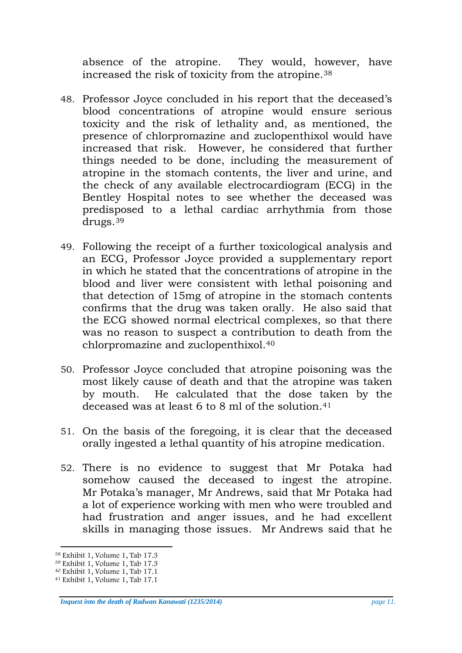absence of the atropine. They would, however, have increased the risk of toxicity from the atropine.[38](#page-9-3)

- 48. Professor Joyce concluded in his report that the deceased's blood concentrations of atropine would ensure serious toxicity and the risk of lethality and, as mentioned, the presence of chlorpromazine and zuclopenthixol would have increased that risk. However, he considered that further things needed to be done, including the measurement of atropine in the stomach contents, the liver and urine, and the check of any available electrocardiogram (ECG) in the Bentley Hospital notes to see whether the deceased was predisposed to a lethal cardiac arrhythmia from those drugs.[39](#page-10-0)
- 49. Following the receipt of a further toxicological analysis and an ECG, Professor Joyce provided a supplementary report in which he stated that the concentrations of atropine in the blood and liver were consistent with lethal poisoning and that detection of 15mg of atropine in the stomach contents confirms that the drug was taken orally. He also said that the ECG showed normal electrical complexes, so that there was no reason to suspect a contribution to death from the chlorpromazine and zuclopenthixol.[40](#page-10-1)
- 50. Professor Joyce concluded that atropine poisoning was the most likely cause of death and that the atropine was taken by mouth. He calculated that the dose taken by the deceased was at least 6 to 8 ml of the solution.[41](#page-10-2)
- 51. On the basis of the foregoing, it is clear that the deceased orally ingested a lethal quantity of his atropine medication.
- 52. There is no evidence to suggest that Mr Potaka had somehow caused the deceased to ingest the atropine. Mr Potaka's manager, Mr Andrews, said that Mr Potaka had a lot of experience working with men who were troubled and had frustration and anger issues, and he had excellent skills in managing those issues. Mr Andrews said that he

*Inquest into the death of Radwan Kanawati (1235/2014) page 11.*

<span id="page-10-3"></span> <sup>38</sup> Exhibit 1, Volume 1, Tab 17.3

<span id="page-10-0"></span><sup>39</sup> Exhibit 1, Volume 1, Tab 17.3

<span id="page-10-1"></span><sup>40</sup> Exhibit 1, Volume 1, Tab 17.1

<span id="page-10-2"></span><sup>41</sup> Exhibit 1, Volume 1, Tab 17.1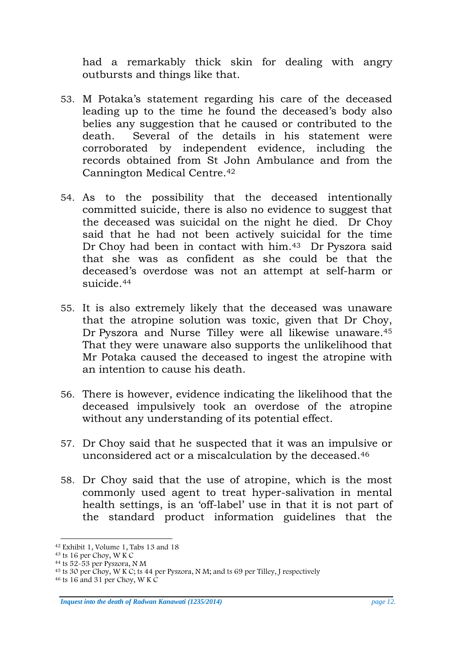had a remarkably thick skin for dealing with angry outbursts and things like that.

- 53. M Potaka's statement regarding his care of the deceased leading up to the time he found the deceased's body also belies any suggestion that he caused or contributed to the death. Several of the details in his statement were corroborated by independent evidence, including the records obtained from St John Ambulance and from the Cannington Medical Centre.[42](#page-10-3)
- 54. As to the possibility that the deceased intentionally committed suicide, there is also no evidence to suggest that the deceased was suicidal on the night he died. Dr Choy said that he had not been actively suicidal for the time Dr Choy had been in contact with him.<sup>43</sup> Dr Pyszora said that she was as confident as she could be that the deceased's overdose was not an attempt at self-harm or suicide [44](#page-11-1)
- 55. It is also extremely likely that the deceased was unaware that the atropine solution was toxic, given that Dr Choy, Dr Pyszora and Nurse Tilley were all likewise unaware[.45](#page-11-2) That they were unaware also supports the unlikelihood that Mr Potaka caused the deceased to ingest the atropine with an intention to cause his death.
- 56. There is however, evidence indicating the likelihood that the deceased impulsively took an overdose of the atropine without any understanding of its potential effect.
- 57. Dr Choy said that he suspected that it was an impulsive or unconsidered act or a miscalculation by the deceased.[46](#page-11-3)
- 58. Dr Choy said that the use of atropine, which is the most commonly used agent to treat hyper-salivation in mental health settings, is an 'off-label' use in that it is not part of the standard product information guidelines that the

*Inquest into the death of Radwan Kanawati (1235/2014) page 12.* 

 <sup>42</sup> Exhibit 1, Volume 1, Tabs 13 and 18

<span id="page-11-0"></span> $43$  ts 16 per Choy, W K C

<span id="page-11-1"></span> $44$  ts 52-53 per Pyszora, N M

<span id="page-11-3"></span><span id="page-11-2"></span><sup>&</sup>lt;sup>45</sup> ts 30 per Choy, W K C; ts 44 per Pyszora, N M; and ts 69 per Tilley, J respectively <sup>46</sup> ts 16 and 31 per Choy, W K C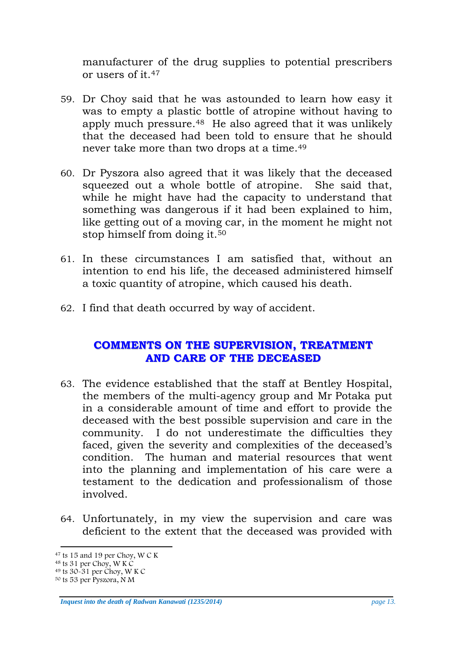manufacturer of the drug supplies to potential prescribers or users of it.[47](#page-11-0)

- 59. Dr Choy said that he was astounded to learn how easy it was to empty a plastic bottle of atropine without having to apply much pressure[.48](#page-12-1) He also agreed that it was unlikely that the deceased had been told to ensure that he should never take more than two drops at a time.[49](#page-12-2)
- 60. Dr Pyszora also agreed that it was likely that the deceased squeezed out a whole bottle of atropine. She said that, while he might have had the capacity to understand that something was dangerous if it had been explained to him, like getting out of a moving car, in the moment he might not stop himself from doing it[.50](#page-12-3)
- 61. In these circumstances I am satisfied that, without an intention to end his life, the deceased administered himself a toxic quantity of atropine, which caused his death.
- <span id="page-12-0"></span>62. I find that death occurred by way of accident.

## **COMMENTS ON THE SUPERVISION, TREATMENT AND CARE OF THE DECEASED**

- 63. The evidence established that the staff at Bentley Hospital, the members of the multi-agency group and Mr Potaka put in a considerable amount of time and effort to provide the deceased with the best possible supervision and care in the community. I do not underestimate the difficulties they faced, given the severity and complexities of the deceased's condition. The human and material resources that went into the planning and implementation of his care were a testament to the dedication and professionalism of those involved.
- 64. Unfortunately, in my view the supervision and care was deficient to the extent that the deceased was provided with

*Inquest into the death of Radwan Kanawati (1235/2014) page 13.*

 $47$  ts 15 and 19 per Choy, W C K

<span id="page-12-1"></span> $48$  ts 31 per Choy, W K C

<span id="page-12-2"></span><sup>49</sup> ts 30-31 per Choy, W K C

<span id="page-12-3"></span><sup>50</sup> ts 53 per Pyszora, N M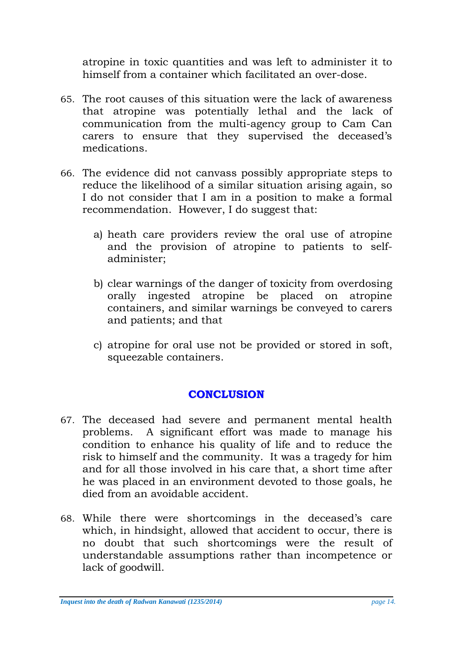atropine in toxic quantities and was left to administer it to himself from a container which facilitated an over-dose.

- 65. The root causes of this situation were the lack of awareness that atropine was potentially lethal and the lack of communication from the multi-agency group to Cam Can carers to ensure that they supervised the deceased's medications.
- 66. The evidence did not canvass possibly appropriate steps to reduce the likelihood of a similar situation arising again, so I do not consider that I am in a position to make a formal recommendation. However, I do suggest that:
	- a) heath care providers review the oral use of atropine and the provision of atropine to patients to selfadminister;
	- b) clear warnings of the danger of toxicity from overdosing orally ingested atropine be placed on atropine containers, and similar warnings be conveyed to carers and patients; and that
	- c) atropine for oral use not be provided or stored in soft, squeezable containers.

# **CONCLUSION**

- <span id="page-13-0"></span>67. The deceased had severe and permanent mental health problems. A significant effort was made to manage his condition to enhance his quality of life and to reduce the risk to himself and the community. It was a tragedy for him and for all those involved in his care that, a short time after he was placed in an environment devoted to those goals, he died from an avoidable accident.
- 68. While there were shortcomings in the deceased's care which, in hindsight, allowed that accident to occur, there is no doubt that such shortcomings were the result of understandable assumptions rather than incompetence or lack of goodwill.